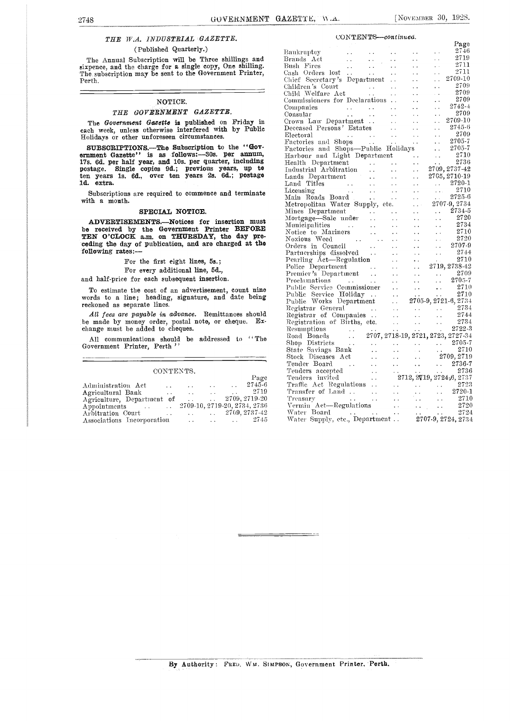#### THE W.A. INDUSTRIAL GAZETTE. (Published Quarterly.)

The Annual Subscription will be Three shillings and sixpence, and the charge for a single copy, One shilling. The subscription may be sent to the Government Printer, Perth.

#### NOTICE.

#### THE GOVERNMENT GAZETTE.

The Government Gazette is published on Friday in each week, unless otherwise interfered with by Public Holidays or other unforeseen circumstances. Electoral With Books and Shops

SUBSCRIPTIONS.-The Subscription to the "Gov-SUBSCRIPTIONS.—The Subscription to the "Gov-<br>
Factories and Shops—Public Holidays<br>
ernment Gazette" is as follows:—30s. per annum,<br>
17s. 6d. per half year, and 10s. per quarter, including<br>
postage. Single copies 9d.; previ postage. Single copies 9d.; previous years, up to Indust ten years 1s. 6d., over ten years 2s. 6d.; postage  $\qquad$   $\qquad$   $\qquad$   $\qquad$   $\qquad$   $\qquad$   $\qquad$   $\qquad$   $\qquad$   $\qquad$   $\qquad$   $\qquad$   $\qquad$   $\qquad$   $\qquad$   $\qquad$   $\qquad$   $\qquad$   $\qquad$   $\qquad$   $\qquad$   $\qquad$   $\qquad$   $\qquad$   $\qquad$   $\qquad$   $\qquad$   $\qquad$   $\$ ld. extra.

Subscriptions are required to commence and terminate Licensing<br>with a month.

#### SPECIAL NOTICE.

ADVERTISEMENTS.-Notices for insertion must<br>be received by the Government Printer BEFORE<br>EN O'CLOCK a.m. on THURSDAY, the day pre-<br>Notice to Mariners<br>Notice to Mariners be received by the Government Printer BEFORE<br>TEN O'CLOCK a.m. on THURSDAY, the day preceding the day of publication, and are charged at the  $\frac{100000 \text{ N}}{\text{Orders}}$  in Council ...<br>
following rates:following rates:

For the first eight lines, 5s.;

For every additional line, 5d.,

and half-price for each subsequent insertion.

To estimate the cost of an advertisement, count nine Public Service Commissione words to a line; heading, signature, and date being Public Service Holiday ... reckoned as separate lines.

ekoned as separate lines.<br>
All fees are payable in advance. Remittances should Registrar of Companies ..<br>
In made by money order, postal note, or cheque. Ex- Registration of Births, etc. be made by money order, postal note, or cheque. Exchange must be added to cheques. All communications should be addressed to "The Resumptions" Resumptions<br>All communications should be addressed to "The Road Boards"

Government Printer, Perth "

#### CONTENTS.

|                                           |                                                                                                                             |                          |                      | Page                         | Ten  |
|-------------------------------------------|-----------------------------------------------------------------------------------------------------------------------------|--------------------------|----------------------|------------------------------|------|
| Administration Act<br>$\sim$ $\sim$       | $\cdots$                                                                                                                    | $\cdot$ $\cdot$          | $\ddot{\phantom{0}}$ | 2745-6                       | Tra  |
| Agricultural Bank<br>$\ddot{\phantom{1}}$ | $\ddot{\phantom{0}}$                                                                                                        | <b>Contract Contract</b> | $\sim$ $\sim$        | 2719                         | Tra: |
| Agriculture, Department of                | $\mathcal{L}^{\mathcal{L}}$ and $\mathcal{L}^{\mathcal{L}}$ and $\mathcal{L}^{\mathcal{L}}$ and $\mathcal{L}^{\mathcal{L}}$ |                          |                      | $\ldots$ 2709, 2719-20       | Tre  |
| Appointments                              |                                                                                                                             |                          |                      | 2709-10, 2719-20, 2734, 2736 | Ver  |
| Arbitration Court<br>$\sim$               |                                                                                                                             |                          |                      | $\ldots$ $2709, 2737-42$     | Wat  |
| Associations Incorporation                |                                                                                                                             |                          |                      | $\ldots$ . $2745$            | Wat  |
|                                           |                                                                                                                             |                          |                      |                              |      |

 $2748$   $\text{GovERNMENT GAZETTE}, \text{W.A.}$  [NOVEMBER 30, 1928. CONTENTS-continued. Page 2746 Bankruptcy Brands Act Bush Fires 2719  $\ddot{\phantom{a}}$  $\ddot{\phantom{a}}$  $\sim$   $\sim$ 2711  $\sim$  $\ddot{\phantom{a}}$  $\sim$ 2711 Cash Orders lost Chief Secretary 's Department .. Children 's Court  $\mathbb{R}^2$  $\ddotsc$  $\ddot{\phantom{a}}$  . 2709-10  $\sim$  . Children's Court ...<br>Child Welfare Act ... 2709  $\sim$   $\sim$ 2709 2709 Commissioners for Declarations ..  $\Box$ 2742-1 Companies  $\bar{\lambda}$  . 2709  $\sim$  .  $\ddotsc$  $\sim$ Crown Law Department ... 2709-10  $\ddot{\phantom{a}}$  .  $\sim 10$ Deceased Persons' Estates ...<br>Electoral ... ... ... 2745-6  $\sim$  .  $\sim$  . Electoral 2709  $\sim$  .  $\sim$   $\sim$ 2705-7 Factories and Shops—Public Holidays<br>
Harbour and Light Department Industrial Arbitration<br>
Health Department Industrial Arbitration<br>
Industrial Arbitration<br>
Industrial Arbitration<br>
Industrial Arbitration<br>
Industrial Arbitra 2705-7  $\frac{2710}{2736}$ .. 2736 2709, 2737-42 Lands Department<br>Lands Department<br>Land Titles<br>Licensing  $\frac{2705}{2720-1}$ 2720-1  $\ddotsc$  $\sim$  $\sim$   $\sim$ 2710 Licensing<br>Main Roads Board  $\sim$  $\sim$  .  $\sim 10$ . .2725-6  $\ddot{\phantom{a}}$  $\sim$   $\sim$  $\frac{2707-9, 2734}{2734-5}$ Metropolitan Water Supply, etc.<br>
Mines Department ... .. .. ..<br>
Mortgage—Sale under ... .. .. ..<br>
Municipalities ... .. .. .. ..<br>
Notice to Mariners<br>
Noxious Weed ... ... .. 2734-5 2720  $\bar{z}$  . 2734  $\sim$   $\sim$ 2710  $\bar{z}$  . 2720 Noxious Weed Orders in Council  $\sim$  . 2707-9  $\ddot{\phantom{0}}$  $\ddot{\phantom{a}}$  $\ddot{\phantom{a}}$  $\ddotsc$ 2744  $\ddotsc$ Partnerships dissolved ... ..<br>Pearling Act—Regulation ...<br>Police Department ... ...  $\sim$  . 2710  $\sim$  . Police Department<br>Premier's Department<br>Proclamations 2719, 2738-42  $\sim$   $\sim$ 2709  $\ddot{\phantom{a}}$  $\sim$  . 2705-7  $\ddot{\phantom{a}}$  .  $\ddot{\phantom{a}}$  . Public Service Commissioner ...  $\langle \rangle$  .  $\bar{\mathcal{A}}$  . 2710 2710 Public Service Holiday .. Public. Works Department Registrar General Registrar of Companies .. Registration of Births, etc. Resumptions Road Boards 2705-9, 2721-6, 2734 2734  $\sim$   $\sim$ 2744  $\sim$  .  $\ddot{\phantom{a}}$ 2734  $\sim$  .  $\bar{\mathcal{A}}$  . 2722-3 2707, 2718-19, 2721, 2723, 2727-34 Shop Districts<br>
State Savings Bank<br>
Stock Diseases Act 2705-7  $\sim 10^7$  $\sim 100$ 2710  $\ddot{\phantom{a}}$  $\sim$   $\sim$  $2709, 2719$ <br>2736-7 Stock Diseases Act ...<br>Tender Board ... ..  $\ddot{\phantom{a}}$  .  $\sim$   $\sim$ Tender Board<br>Tenders accepted 2736-7

. 2736

2712, 2719, 2724, 6, 2737 . 2723

 $\sim$   $\sim$ 

 $\sim$  $\ddotsc$ 

 $\mathbb{E}[\mathbf{z}^{\top}]$  $\sim$  .

 $\sim$   $\sim$ 

2707-9, 2724, 2734

 $\bar{z}$  .

Tenders accepted ...<br>Tenders invited ...<br>Traffic Act Regulations ..

Traffic Act Regulations Transfer of Land .. reasnry Vermin A etRegulations Water Board Water Supply, etc., Departmen

By Authority: FRED. W M. SI MPSON, Government Printer, Perth.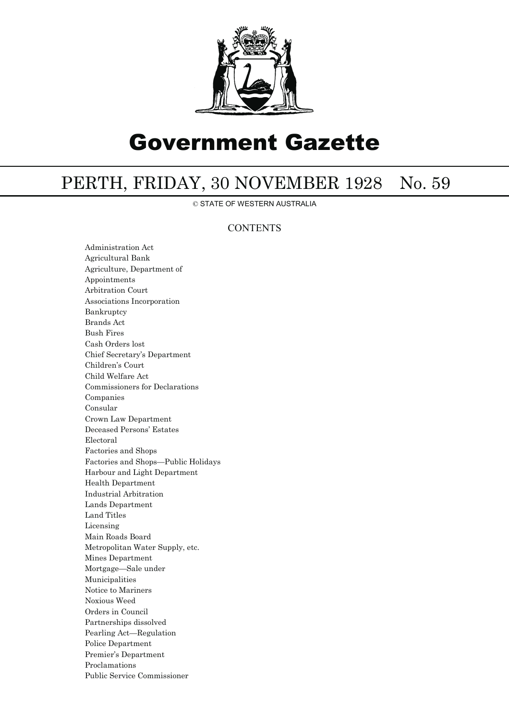

# Government Gazette

## PERTH, FRIDAY, 30 NOVEMBER 1928 No. 59

© STATE OF WESTERN AUSTRALIA

### **CONTENTS**

Administration Act Agricultural Bank Agriculture, Department of Appointments Arbitration Court Associations Incorporation Bankruptcy Brands Act Bush Fires Cash Orders lost Chief Secretary's Department Children's Court Child Welfare Act Commissioners for Declarations Companies Consular Crown Law Department Deceased Persons' Estates Electoral Factories and Shops Factories and Shops—Public Holidays Harbour and Light Department Health Department Industrial Arbitration Lands Department Land Titles Licensing Main Roads Board Metropolitan Water Supply, etc. Mines Department Mortgage—Sale under Municipalities Notice to Mariners Noxious Weed Orders in Council Partnerships dissolved Pearling Act—Regulation Police Department Premier's Department Proclamations Public Service Commissioner